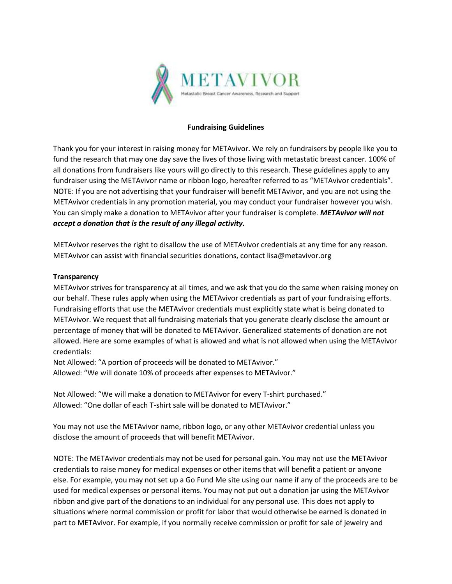

#### **Fundraising Guidelines**

Thank you for your interest in raising money for METAvivor. We rely on fundraisers by people like you to fund the research that may one day save the lives of those living with metastatic breast cancer. 100% of all donations from fundraisers like yours will go directly to this research. These guidelines apply to any fundraiser using the METAvivor name or ribbon logo, hereafter referred to as "METAvivor credentials". NOTE: If you are not advertising that your fundraiser will benefit METAvivor, and you are not using the METAvivor credentials in any promotion material, you may conduct your fundraiser however you wish. You can simply make a donation to METAvivor after your fundraiser is complete. *METAvivor will not accept a donation that is the result of any illegal activity.*

METAvivor reserves the right to disallow the use of METAvivor credentials at any time for any reason. METAvivor can assist with financial securities donations, contact lisa@metavivor.org

#### **Transparency**

METAvivor strives for transparency at all times, and we ask that you do the same when raising money on our behalf. These rules apply when using the METAvivor credentials as part of your fundraising efforts. Fundraising efforts that use the METAvivor credentials must explicitly state what is being donated to METAvivor. We request that all fundraising materials that you generate clearly disclose the amount or percentage of money that will be donated to METAvivor. Generalized statements of donation are not allowed. Here are some examples of what is allowed and what is not allowed when using the METAvivor credentials:

Not Allowed: "A portion of proceeds will be donated to METAvivor." Allowed: "We will donate 10% of proceeds after expenses to METAvivor."

Not Allowed: "We will make a donation to METAvivor for every T-shirt purchased." Allowed: "One dollar of each T-shirt sale will be donated to METAvivor."

You may not use the METAvivor name, ribbon logo, or any other METAvivor credential unless you disclose the amount of proceeds that will benefit METAvivor.

NOTE: The METAvivor credentials may not be used for personal gain. You may not use the METAvivor credentials to raise money for medical expenses or other items that will benefit a patient or anyone else. For example, you may not set up a Go Fund Me site using our name if any of the proceeds are to be used for medical expenses or personal items. You may not put out a donation jar using the METAvivor ribbon and give part of the donations to an individual for any personal use. This does not apply to situations where normal commission or profit for labor that would otherwise be earned is donated in part to METAvivor. For example, if you normally receive commission or profit for sale of jewelry and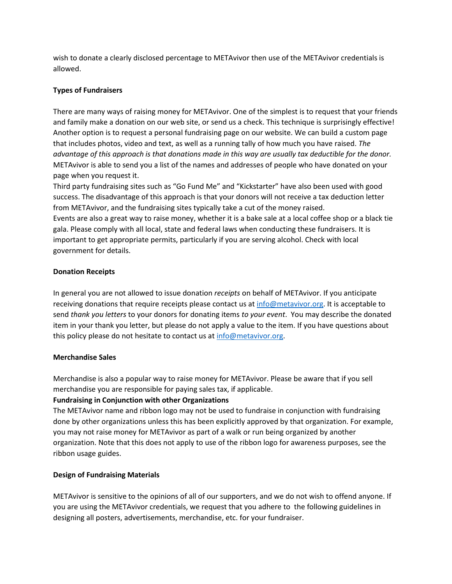wish to donate a clearly disclosed percentage to METAvivor then use of the METAvivor credentials is allowed.

# **Types of Fundraisers**

There are many ways of raising money for METAvivor. One of the simplest is to request that your friends and family make a donation on our web site, or send us a check. This technique is surprisingly effective! Another option is to request a personal fundraising page on our website. We can build a custom page that includes photos, video and text, as well as a running tally of how much you have raised. *The advantage of this approach is that donations made in this way are usually tax deductible for the donor.*  METAvivor is able to send you a list of the names and addresses of people who have donated on your page when you request it.

Third party fundraising sites such as "Go Fund Me" and "Kickstarter" have also been used with good success. The disadvantage of this approach is that your donors will not receive a tax deduction letter from METAvivor, and the fundraising sites typically take a cut of the money raised. Events are also a great way to raise money, whether it is a bake sale at a local coffee shop or a black tie gala. Please comply with all local, state and federal laws when conducting these fundraisers. It is important to get appropriate permits, particularly if you are serving alcohol. Check with local government for details.

## **Donation Receipts**

In general you are not allowed to issue donation *receipts* on behalf of METAvivor. If you anticipate receiving donations that require receipts please contact us a[t info@metavivor.org.](mailto:info@metavivor.org) It is acceptable to send *thank you letters* to your donors for donating items *to your event*. You may describe the donated item in your thank you letter, but please do not apply a value to the item. If you have questions about this policy please do not hesitate to contact us at [info@metavivor.org.](mailto:info@metavivor.org)

### **Merchandise Sales**

Merchandise is also a popular way to raise money for METAvivor. Please be aware that if you sell merchandise you are responsible for paying sales tax, if applicable.

# **Fundraising in Conjunction with other Organizations**

The METAvivor name and ribbon logo may not be used to fundraise in conjunction with fundraising done by other organizations unless this has been explicitly approved by that organization. For example, you may not raise money for METAvivor as part of a walk or run being organized by another organization. Note that this does not apply to use of the ribbon logo for awareness purposes, see the ribbon usage guides.

# **Design of Fundraising Materials**

METAvivor is sensitive to the opinions of all of our supporters, and we do not wish to offend anyone. If you are using the METAvivor credentials, we request that you adhere to the following guidelines in designing all posters, advertisements, merchandise, etc. for your fundraiser.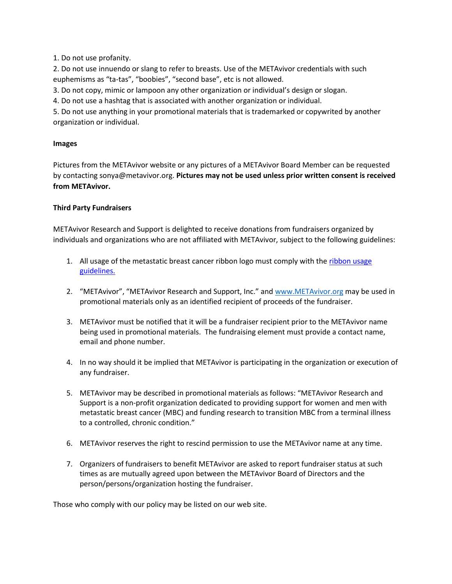1. Do not use profanity.

2. Do not use innuendo or slang to refer to breasts. Use of the METAvivor credentials with such euphemisms as "ta-tas", "boobies", "second base", etc is not allowed.

3. Do not copy, mimic or lampoon any other organization or individual's design or slogan.

4. Do not use a hashtag that is associated with another organization or individual.

5. Do not use anything in your promotional materials that is trademarked or copywrited by another organization or individual.

### **Images**

Pictures from the METAvivor website or any pictures of a METAvivor Board Member can be requested by contacting sonya@metavivor.org. **Pictures may not be used unless prior written consent is received from METAvivor.**

## **Third Party Fundraisers**

METAvivor Research and Support is delighted to receive donations from fundraisers organized by individuals and organizations who are not affiliated with METAvivor, subject to the following guidelines:

- 1. All usage of the metastatic breast cancer ribbon logo must comply with the ribbon usage guidelines.
- 2. "METAvivor", "METAvivor Research and Support, Inc." and [www.METAvivor.org](http://www.metavivor.org/) may be used in promotional materials only as an identified recipient of proceeds of the fundraiser.
- 3. METAvivor must be notified that it will be a fundraiser recipient prior to the METAvivor name being used in promotional materials. The fundraising element must provide a contact name, email and phone number.
- 4. In no way should it be implied that METAvivor is participating in the organization or execution of any fundraiser.
- 5. METAvivor may be described in promotional materials as follows: "METAvivor Research and Support is a non-profit organization dedicated to providing support for women and men with metastatic breast cancer (MBC) and funding research to transition MBC from a terminal illness to a controlled, chronic condition."
- 6. METAvivor reserves the right to rescind permission to use the METAvivor name at any time.
- 7. Organizers of fundraisers to benefit METAvivor are asked to report fundraiser status at such times as are mutually agreed upon between the METAvivor Board of Directors and the person/persons/organization hosting the fundraiser.

Those who comply with our policy may be listed on our web site.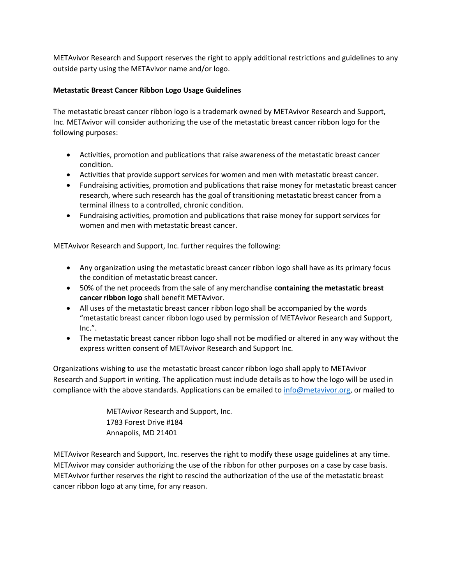METAvivor Research and Support reserves the right to apply additional restrictions and guidelines to any outside party using the METAvivor name and/or logo.

# **Metastatic Breast Cancer Ribbon Logo Usage Guidelines**

The metastatic breast cancer ribbon logo is a trademark owned by METAvivor Research and Support, Inc. METAvivor will consider authorizing the use of the metastatic breast cancer ribbon logo for the following purposes:

- Activities, promotion and publications that raise awareness of the metastatic breast cancer condition.
- Activities that provide support services for women and men with metastatic breast cancer.
- Fundraising activities, promotion and publications that raise money for metastatic breast cancer research, where such research has the goal of transitioning metastatic breast cancer from a terminal illness to a controlled, chronic condition.
- Fundraising activities, promotion and publications that raise money for support services for women and men with metastatic breast cancer.

METAvivor Research and Support, Inc. further requires the following:

- Any organization using the metastatic breast cancer ribbon logo shall have as its primary focus the condition of metastatic breast cancer.
- 50% of the net proceeds from the sale of any merchandise **containing the metastatic breast cancer ribbon logo** shall benefit METAvivor.
- All uses of the metastatic breast cancer ribbon logo shall be accompanied by the words "metastatic breast cancer ribbon logo used by permission of METAvivor Research and Support, Inc.".
- The metastatic breast cancer ribbon logo shall not be modified or altered in any way without the express written consent of METAvivor Research and Support Inc.

Organizations wishing to use the metastatic breast cancer ribbon logo shall apply to METAvivor Research and Support in writing. The application must include details as to how the logo will be used in compliance with the above standards. Applications can be emailed to [info@metavivor.org,](mailto:info@metavivor.org) or mailed to

> METAvivor Research and Support, Inc. 1783 Forest Drive #184 Annapolis, MD 21401

METAvivor Research and Support, Inc. reserves the right to modify these usage guidelines at any time. METAvivor may consider authorizing the use of the ribbon for other purposes on a case by case basis. METAvivor further reserves the right to rescind the authorization of the use of the metastatic breast cancer ribbon logo at any time, for any reason.